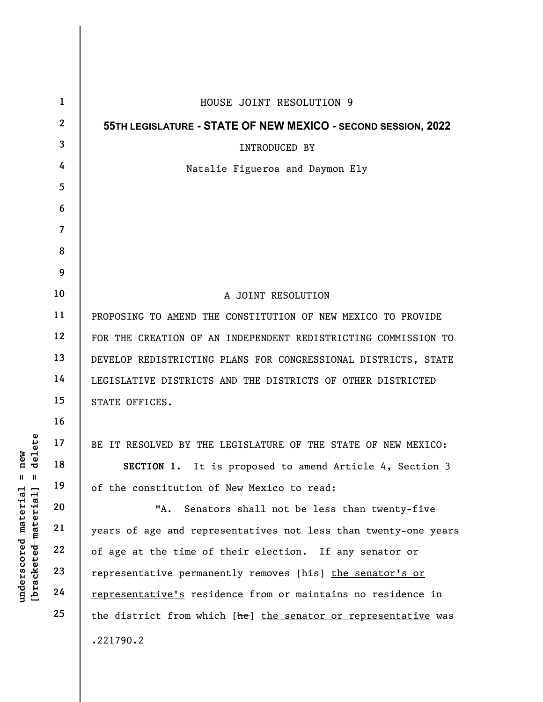|                                                                                                                                  | $\mathbf{1}$            | HOUSE JOINT RESOLUTION 9                                        |
|----------------------------------------------------------------------------------------------------------------------------------|-------------------------|-----------------------------------------------------------------|
|                                                                                                                                  | $\mathbf{2}$            | 55TH LEGISLATURE - STATE OF NEW MEXICO - SECOND SESSION, 2022   |
|                                                                                                                                  | $\overline{\mathbf{3}}$ | <b>INTRODUCED BY</b>                                            |
|                                                                                                                                  | 4                       | Natalie Figueroa and Daymon Ely                                 |
|                                                                                                                                  | 5                       |                                                                 |
|                                                                                                                                  | 6                       |                                                                 |
|                                                                                                                                  | $\overline{\mathbf{7}}$ |                                                                 |
|                                                                                                                                  | 8                       |                                                                 |
|                                                                                                                                  | 9                       |                                                                 |
|                                                                                                                                  | 10                      | A JOINT RESOLUTION                                              |
| ete<br>≱ ਜ<br>e<br>1<br>$\frac{e}{d}$<br>$\mathsf{I}$<br>$\mathsf{II}$<br>[bracketed-material]<br><u>material</u><br>underscored | 11                      | PROPOSING TO AMEND THE CONSTITUTION OF NEW MEXICO TO PROVIDE    |
|                                                                                                                                  | 12                      | FOR THE CREATION OF AN INDEPENDENT REDISTRICTING COMMISSION TO  |
|                                                                                                                                  | 13                      | DEVELOP REDISTRICTING PLANS FOR CONGRESSIONAL DISTRICTS, STATE  |
|                                                                                                                                  | 14                      | LEGISLATIVE DISTRICTS AND THE DISTRICTS OF OTHER DISTRICTED     |
|                                                                                                                                  | 15                      | STATE OFFICES.                                                  |
|                                                                                                                                  | 16                      |                                                                 |
|                                                                                                                                  | 17                      | BE IT RESOLVED BY THE LEGISLATURE OF THE STATE OF NEW MEXICO:   |
|                                                                                                                                  | 18                      | SECTION 1. It is proposed to amend Article 4, Section 3         |
|                                                                                                                                  | 19                      | of the constitution of New Mexico to read:                      |
|                                                                                                                                  | 20                      | Senators shall not be less than twenty-five<br>"А.              |
|                                                                                                                                  | 21                      | years of age and representatives not less than twenty-one years |
|                                                                                                                                  | 22                      | of age at the time of their election. If any senator or         |
|                                                                                                                                  | 23                      | representative permanently removes [his] the senator's or       |
|                                                                                                                                  | 24                      | representative's residence from or maintains no residence in    |
|                                                                                                                                  | 25                      | the district from which [he] the senator or representative was  |
|                                                                                                                                  |                         | .221790.2                                                       |
|                                                                                                                                  |                         |                                                                 |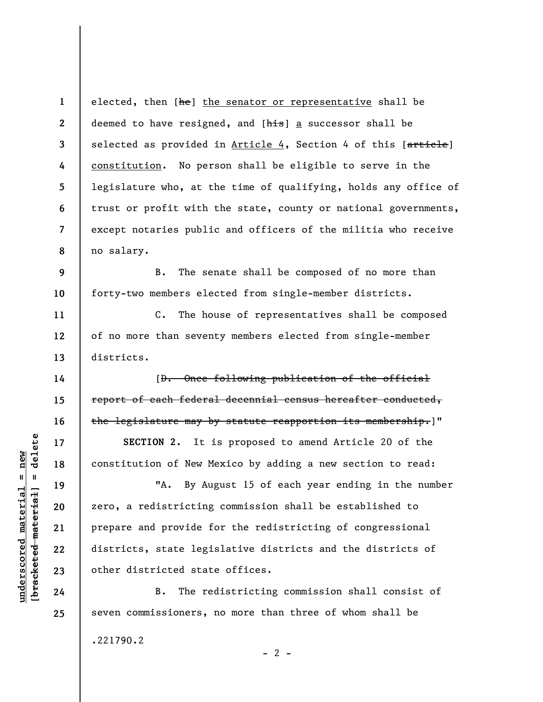1 2 3 4 5 6 7 8 elected, then [he] the senator or representative shall be deemed to have resigned, and [his] a successor shall be selected as provided in Article 4, Section 4 of this [article] constitution. No person shall be eligible to serve in the legislature who, at the time of qualifying, holds any office of trust or profit with the state, county or national governments, except notaries public and officers of the militia who receive no salary.

9 10 B. The senate shall be composed of no more than forty-two members elected from single-member districts.

C. The house of representatives shall be composed of no more than seventy members elected from single-member districts.

[D. Once following publication of the official report of each federal decennial census hereafter conducted, the legislature may by statute reapportion its membership.]"

SECTION 2. It is proposed to amend Article 20 of the constitution of New Mexico by adding a new section to read:

UNE DECTION 2. It<br>
and the second material of New M.<br>
The material properties of New M.<br>
20<br>
21<br>
22<br>
23<br>
24<br>
24<br>
24<br>
25<br>
26<br>
26<br>
26<br>
26<br>
26<br>
26<br>
26<br>
26<br>
26<br>
27<br>
27<br>
27<br>
27<br>
27<br>
28<br>
27<br>
28<br>
27<br>
28<br>
27<br>
28<br>
27<br>
28<br>
27<br>
28<br>
2 "A. By August 15 of each year ending in the number zero, a redistricting commission shall be established to prepare and provide for the redistricting of congressional districts, state legislative districts and the districts of other districted state offices.

B. The redistricting commission shall consist of seven commissioners, no more than three of whom shall be

 $- 2 -$ 

.221790.2

11

12

13

14

15

16

17

18

19

20

21

22

23

24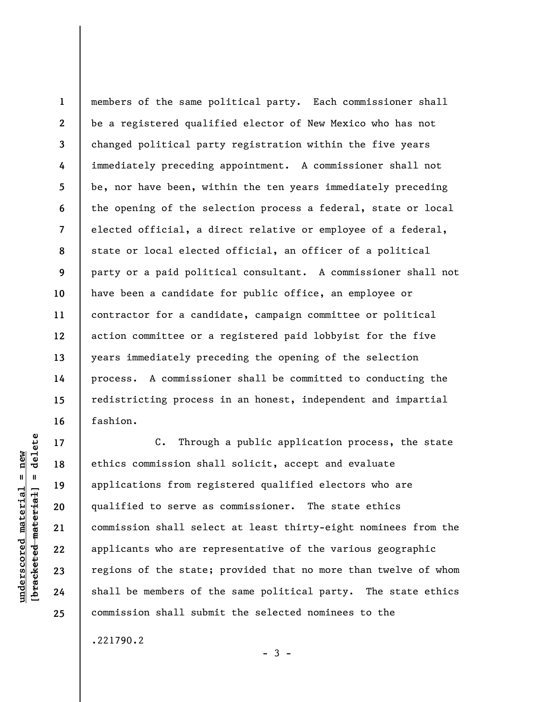1 2 3 4 5 6 7 8 9 10 11 12 13 14 15 16 members of the same political party. Each commissioner shall be a registered qualified elector of New Mexico who has not changed political party registration within the five years immediately preceding appointment. A commissioner shall not be, nor have been, within the ten years immediately preceding the opening of the selection process a federal, state or local elected official, a direct relative or employee of a federal, state or local elected official, an officer of a political party or a paid political consultant. A commissioner shall not have been a candidate for public office, an employee or contractor for a candidate, campaign committee or political action committee or a registered paid lobbyist for the five years immediately preceding the opening of the selection process. A commissioner shall be committed to conducting the redistricting process in an honest, independent and impartial fashion.

underscored material = new [bracketed material] = delete C. Through a public application process, the state ethics commission shall solicit, accept and evaluate applications from registered qualified electors who are qualified to serve as commissioner. The state ethics commission shall select at least thirty-eight nominees from the applicants who are representative of the various geographic regions of the state; provided that no more than twelve of whom shall be members of the same political party. The state ethics commission shall submit the selected nominees to the

 $-3 -$ 

.221790.2

17

18

19

20

21

22

23

24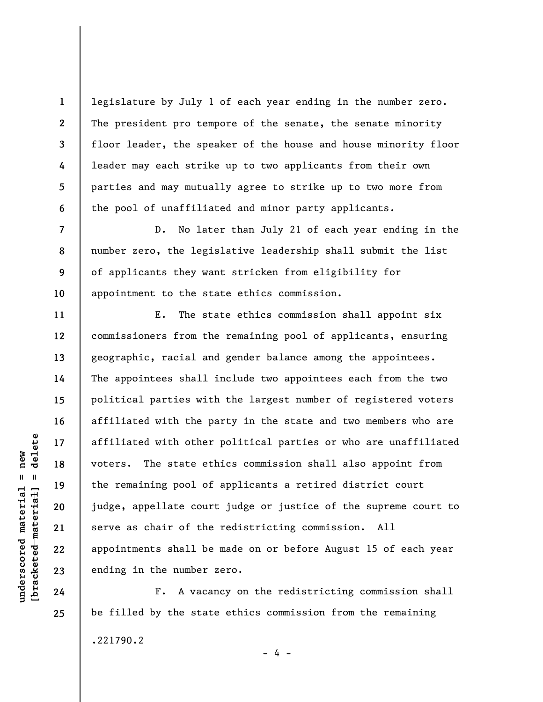legislature by July 1 of each year ending in the number zero. The president pro tempore of the senate, the senate minority floor leader, the speaker of the house and house minority floor leader may each strike up to two applicants from their own parties and may mutually agree to strike up to two more from the pool of unaffiliated and minor party applicants.

D. No later than July 21 of each year ending in the number zero, the legislative leadership shall submit the list of applicants they want stricken from eligibility for appointment to the state ethics commission.

under 17<br>
under 18<br>
under 19<br>
under 19<br>
under 19<br>
under 19<br>
20<br>
under 19<br>
21<br>
22<br>
appointments shall be<br>
ending in the number<br>
24<br>
F. A vaca E. The state ethics commission shall appoint six commissioners from the remaining pool of applicants, ensuring geographic, racial and gender balance among the appointees. The appointees shall include two appointees each from the two political parties with the largest number of registered voters affiliated with the party in the state and two members who are affiliated with other political parties or who are unaffiliated voters. The state ethics commission shall also appoint from the remaining pool of applicants a retired district court judge, appellate court judge or justice of the supreme court to serve as chair of the redistricting commission. All appointments shall be made on or before August 15 of each year ending in the number zero.

F. A vacancy on the redistricting commission shall be filled by the state ethics commission from the remaining .221790.2  $- 4 -$ 

1

2

3

4

5

6

7

8

9

10

11

12

13

14

15

16

17

18

19

20

21

22

23

24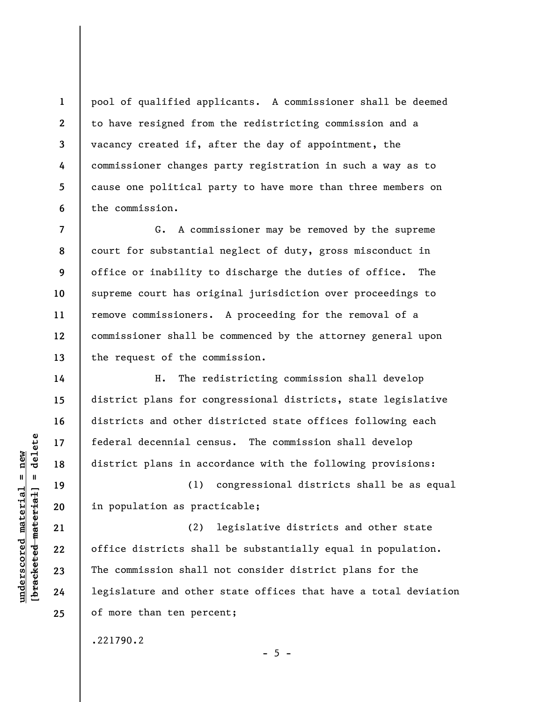1 2 3 4 5 6 pool of qualified applicants. A commissioner shall be deemed to have resigned from the redistricting commission and a vacancy created if, after the day of appointment, the commissioner changes party registration in such a way as to cause one political party to have more than three members on the commission.

7 8 9 10 11 12 13 G. A commissioner may be removed by the supreme court for substantial neglect of duty, gross misconduct in office or inability to discharge the duties of office. The supreme court has original jurisdiction over proceedings to remove commissioners. A proceeding for the removal of a commissioner shall be commenced by the attorney general upon the request of the commission.

H. The redistricting commission shall develop district plans for congressional districts, state legislative districts and other districted state offices following each federal decennial census. The commission shall develop district plans in accordance with the following provisions:

(1) congressional districts shall be as equal in population as practicable;

underscored material strategy of the district plans in according the district plans in according to the district plans in according to the district shall can commission shall the commission shall legislature and other (2) legislative districts and other state office districts shall be substantially equal in population. The commission shall not consider district plans for the legislature and other state offices that have a total deviation of more than ten percent;

.221790.2

 $- 5 -$ 

14

15

16

17

18

19

20

21

22

23

24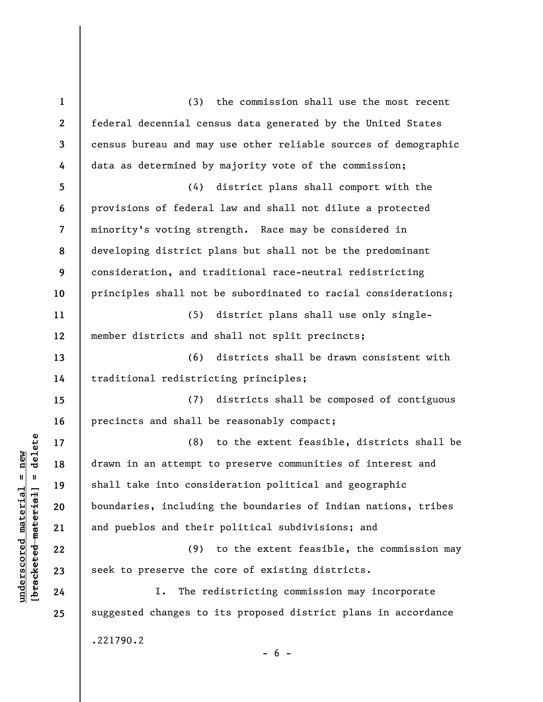understand material material of the solution of the solution of the solution of the solution of the solution of the solution of the solution of the solution of the solution of the solution of the solution of the solution o 1 2 3 4 5 6 7 8 9 10 11 12 13 14 15 16 17 18 19 20 21 22 23 24 25 (3) the commission shall use the most recent federal decennial census data generated by the United States census bureau and may use other reliable sources of demographic data as determined by majority vote of the commission; (4) district plans shall comport with the provisions of federal law and shall not dilute a protected minority's voting strength. Race may be considered in developing district plans but shall not be the predominant consideration, and traditional race-neutral redistricting principles shall not be subordinated to racial considerations; (5) district plans shall use only singlemember districts and shall not split precincts; (6) districts shall be drawn consistent with traditional redistricting principles; (7) districts shall be composed of contiguous precincts and shall be reasonably compact; (8) to the extent feasible, districts shall be drawn in an attempt to preserve communities of interest and shall take into consideration political and geographic boundaries, including the boundaries of Indian nations, tribes and pueblos and their political subdivisions; and (9) to the extent feasible, the commission may seek to preserve the core of existing districts. I. The redistricting commission may incorporate suggested changes to its proposed district plans in accordance .221790.2  $- 6 -$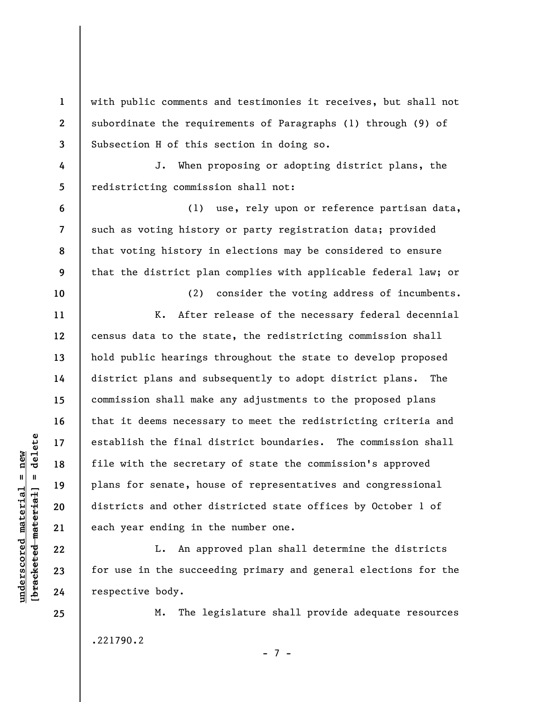with public comments and testimonies it receives, but shall not subordinate the requirements of Paragraphs (1) through (9) of Subsection H of this section in doing so.

4 5 J. When proposing or adopting district plans, the redistricting commission shall not:

(1) use, rely upon or reference partisan data, such as voting history or party registration data; provided that voting history in elections may be considered to ensure that the district plan complies with applicable federal law; or

underscored material establish the final d<br>
in the secreta<br>
plans for senate, hou<br>
districts and other d<br>
each year ending in t<br>
22<br>
23<br>
for use in the succee<br>
24<br>
respective body. (2) consider the voting address of incumbents. K. After release of the necessary federal decennial census data to the state, the redistricting commission shall hold public hearings throughout the state to develop proposed district plans and subsequently to adopt district plans. The commission shall make any adjustments to the proposed plans that it deems necessary to meet the redistricting criteria and establish the final district boundaries. The commission shall file with the secretary of state the commission's approved plans for senate, house of representatives and congressional districts and other districted state offices by October 1 of each year ending in the number one.

L. An approved plan shall determine the districts for use in the succeeding primary and general elections for the respective body.

M. The legislature shall provide adequate resources .221790.2

- 7 -

25

1

2

3

6

7

8

9

10

11

12

13

14

15

16

17

18

19

20

21

22

23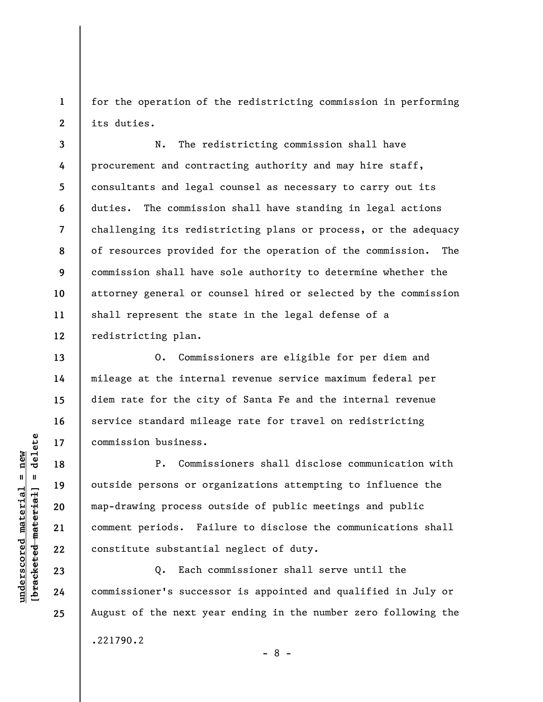1 2 for the operation of the redistricting commission in performing its duties.

3 4 5 6 7 8 9 10 11 12 N. The redistricting commission shall have procurement and contracting authority and may hire staff, consultants and legal counsel as necessary to carry out its duties. The commission shall have standing in legal actions challenging its redistricting plans or process, or the adequacy of resources provided for the operation of the commission. The commission shall have sole authority to determine whether the attorney general or counsel hired or selected by the commission shall represent the state in the legal defense of a redistricting plan.

O. Commissioners are eligible for per diem and mileage at the internal revenue service maximum federal per diem rate for the city of Santa Fe and the internal revenue service standard mileage rate for travel on redistricting commission business.

underscored material = new [bracketed material] = delete P. Commissioners shall disclose communication with outside persons or organizations attempting to influence the map-drawing process outside of public meetings and public comment periods. Failure to disclose the communications shall constitute substantial neglect of duty.

Q. Each commissioner shall serve until the commissioner's successor is appointed and qualified in July or August of the next year ending in the number zero following the

- 8 -

.221790.2

13

14

15

16

17

18

19

20

21

22

23

24